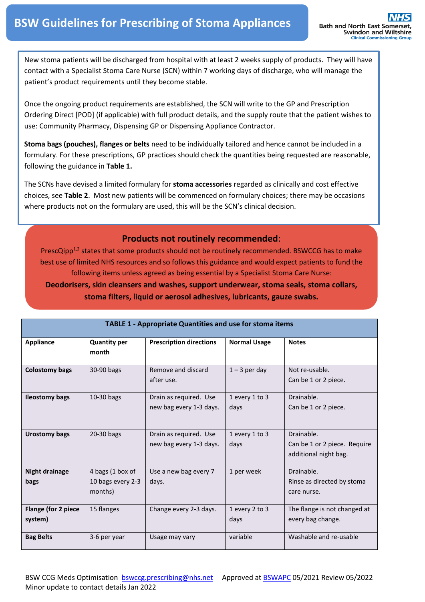New stoma patients will be discharged from hospital with at least 2 weeks supply of products. They will have contact with a Specialist Stoma Care Nurse (SCN) within 7 working days of discharge, who will manage the patient's product requirements until they become stable.

Once the ongoing product requirements are established, the SCN will write to the GP and Prescription Ordering Direct [POD] (if applicable) with full product details, and the supply route that the patient wishes to use: Community Pharmacy, Dispensing GP or Dispensing Appliance Contractor.

**Stoma bags (pouches), flanges or belts** need to be individually tailored and hence cannot be included in a formulary. For these prescriptions, GP practices should check the quantities being requested are reasonable, following the guidance in **Table 1.**

The SCNs have devised a limited formulary for **stoma accessories** regarded as clinically and cost effective choices, see **Table 2**. Most new patients will be commenced on formulary choices; there may be occasions where products not on the formulary are used, this will be the SCN's clinical decision.

### **Products not routinely recommended**:

PrescQipp<sup>1,2</sup> states that some products should not be routinely recommended. BSWCCG has to make best use of limited NHS resources and so follows this guidance and would expect patients to fund the following items unless agreed as being essential by a Specialist Stoma Care Nurse:

**Deodorisers, skin cleansers and washes, support underwear, stoma seals, stoma collars, stoma filters, liquid or aerosol adhesives, lubricants, gauze swabs.**

| <b>TABLE 1 - Appropriate Quantities and use for stoma items</b> |                                                  |                                                   |                        |                                                                     |  |  |  |  |
|-----------------------------------------------------------------|--------------------------------------------------|---------------------------------------------------|------------------------|---------------------------------------------------------------------|--|--|--|--|
| <b>Appliance</b>                                                | <b>Quantity per</b><br>month                     | <b>Prescription directions</b>                    | <b>Normal Usage</b>    | <b>Notes</b>                                                        |  |  |  |  |
| <b>Colostomy bags</b>                                           | 30-90 bags                                       | Remove and discard<br>after use.                  | $1 - 3$ per day        | Not re-usable.<br>Can be 1 or 2 piece.                              |  |  |  |  |
| <b>Ileostomy bags</b>                                           | 10-30 bags                                       | Drain as required. Use<br>new bag every 1-3 days. | 1 every 1 to 3<br>days | Drainable.<br>Can be 1 or 2 piece.                                  |  |  |  |  |
| Urostomy bags                                                   | 20-30 bags                                       | Drain as required. Use<br>new bag every 1-3 days. | 1 every 1 to 3<br>days | Drainable.<br>Can be 1 or 2 piece. Require<br>additional night bag. |  |  |  |  |
| <b>Night drainage</b><br>bags                                   | 4 bags (1 box of<br>10 bags every 2-3<br>months) | Use a new bag every 7<br>days.                    | 1 per week             | Drainable.<br>Rinse as directed by stoma<br>care nurse.             |  |  |  |  |
| Flange (for 2 piece<br>system)                                  | 15 flanges                                       | Change every 2-3 days.                            | 1 every 2 to 3<br>days | The flange is not changed at<br>every bag change.                   |  |  |  |  |
| <b>Bag Belts</b>                                                | 3-6 per year                                     | Usage may vary                                    | variable               | Washable and re-usable                                              |  |  |  |  |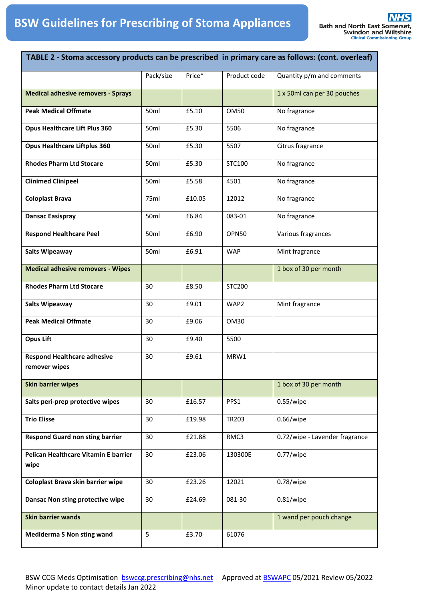| TABLE 2 - Stoma accessory products can be prescribed in primary care as follows: (cont. overleaf) |           |        |               |                                |  |
|---------------------------------------------------------------------------------------------------|-----------|--------|---------------|--------------------------------|--|
|                                                                                                   | Pack/size | Price* | Product code  | Quantity p/m and comments      |  |
| <b>Medical adhesive removers - Sprays</b>                                                         |           |        |               | 1 x 50ml can per 30 pouches    |  |
| <b>Peak Medical Offmate</b>                                                                       | 50ml      | £5.10  | <b>OM50</b>   | No fragrance                   |  |
| <b>Opus Healthcare Lift Plus 360</b>                                                              | 50ml      | £5.30  | 5506          | No fragrance                   |  |
| <b>Opus Healthcare Liftplus 360</b>                                                               | 50ml      | £5.30  | 5507          | Citrus fragrance               |  |
| <b>Rhodes Pharm Ltd Stocare</b>                                                                   | 50ml      | £5.30  | STC100        | No fragrance                   |  |
| <b>Clinimed Clinipeel</b>                                                                         | 50ml      | £5.58  | 4501          | No fragrance                   |  |
| <b>Coloplast Brava</b>                                                                            | 75ml      | £10.05 | 12012         | No fragrance                   |  |
| <b>Dansac Easispray</b>                                                                           | 50ml      | £6.84  | 083-01        | No fragrance                   |  |
| <b>Respond Healthcare Peel</b>                                                                    | 50ml      | £6.90  | <b>OPN50</b>  | Various fragrances             |  |
| <b>Salts Wipeaway</b>                                                                             | 50ml      | £6.91  | <b>WAP</b>    | Mint fragrance                 |  |
| <b>Medical adhesive removers - Wipes</b>                                                          |           |        |               | 1 box of 30 per month          |  |
| <b>Rhodes Pharm Ltd Stocare</b>                                                                   | 30        | £8.50  | <b>STC200</b> |                                |  |
| <b>Salts Wipeaway</b>                                                                             | 30        | £9.01  | WAP2          | Mint fragrance                 |  |
| <b>Peak Medical Offmate</b>                                                                       | 30        | £9.06  | <b>OM30</b>   |                                |  |
| <b>Opus Lift</b>                                                                                  | 30        | £9.40  | 5500          |                                |  |
| <b>Respond Healthcare adhesive</b><br>remover wipes                                               | 30        | £9.61  | MRW1          |                                |  |
| <b>Skin barrier wipes</b>                                                                         |           |        |               | 1 box of 30 per month          |  |
| Salts peri-prep protective wipes                                                                  | 30        | £16.57 | PPS1          | $0.55$ /wipe                   |  |
| <b>Trio Elisse</b>                                                                                | 30        | £19.98 | TR203         | $0.66$ /wipe                   |  |
| <b>Respond Guard non sting barrier</b>                                                            | 30        | £21.88 | RMC3          | 0.72/wipe - Lavender fragrance |  |
| Pelican Healthcare Vitamin E barrier<br>wipe                                                      | 30        | £23.06 | 130300E       | $0.77$ /wipe                   |  |
| Coloplast Brava skin barrier wipe                                                                 | 30        | £23.26 | 12021         | $0.78$ /wipe                   |  |
| Dansac Non sting protective wipe                                                                  | 30        | £24.69 | 081-30        | $0.81$ /wipe                   |  |
| <b>Skin barrier wands</b>                                                                         |           |        |               | 1 wand per pouch change        |  |
| <b>Mediderma S Non sting wand</b>                                                                 | 5         | £3.70  | 61076         |                                |  |